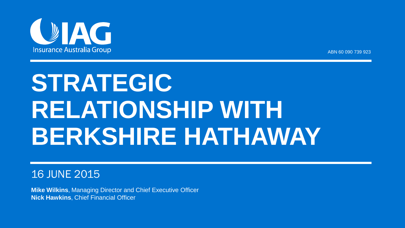

# **STRATEGIC RELATIONSHIP WITH BERKSHIRE HATHAWAY**

#### 16 JUNE 2015

**Mike Wilkins**, Managing Director and Chief Executive Officer **Nick Hawkins**, Chief Financial Officer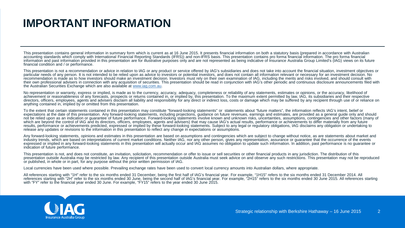## **IMPORTANT INFORMATION**

This presentation contains general information in summary form which is current as at 16 June 2015. It presents financial information on both a statutory basis (prepared in accordance with Australian accounting standards which comply with International Financial Reporting Standards (IFRS) and non-IFRS basis. This presentation contains pro forma financial information. The pro forma financial information and past information provided in this presentation are for illustrative purposes only and are not represented as being indicative of Insurance Australia Group Limited's (IAG) views on its future financial condition and / or performance.

This presentation is not a recommendation or advice in relation to IAG or any product or service offered by IAG's subsidiaries and does not take into account the financial situation, investment objectives or particular needs of any person. It is not intended to be relied upon as advice to investors or potential investors, and does not contain all information relevant or necessary for an investment decision. No recommendation is made as to how investors should make an investment decision. Investors must rely on their own examination of IAG, including the merits and risks involved, and should consult with their own professional advisers in connection with any acquisition of securities. This presentation should be read in conjunction with IAG's other periodic and continuous disclosure announcements filed with the Australian Securities Exchange which are also available at www.iag.com.au.

No representation or warranty, express or implied, is made as to the currency, accuracy, adequacy, completeness or reliability of any statements, estimates or opinions, or the accuracy, likelihood of achievement or reasonableness of any forecasts, prospects or returns contained in, or implied by, this presentation. To the maximum extent permitted by law, IAG, its subsidiaries and their respective directors, officers, employees, agents and advisers disclaim all liability and responsibility for any direct or indirect loss, costs or damage which may be suffered by any recipient through use of or reliance on anything contained in, implied by or omitted from this presentation.

To the extent that certain statements contained in this presentation may constitute "forward-looking statements" or statements about "future matters", the information reflects IAG's intent, belief or expectations at the date of this presentation. Any forward-looking statements, including projections, guidance on future revenues, earnings and estimates, are provided as a general quide only and should not be relied upon as an indication or guarantee of future performance. Forward-looking statements involve known and unknown risks, uncertainties, assumptions, contingencies and other factors (many of which are beyond the control of IAG and its directors, officers, employees, agents and advisers) that may cause IAG's actual results, performance or achievements to differ materially from any future results, performance or achievements predicted, expressed or implied by these forward-looking statements. Subject to any legal or regulatory obligations, IAG disclaims any obligation or undertaking to release any updates or revisions to the information in this presentation to reflect any change in expectations or assumptions.

Any forward-looking statements, opinions and estimates in this presentation are based on assumptions and contingencies which are subject to change without notice, as are statements about market and industry trends, which are based on interpretations of current market conditions. Neither IAG, nor any other person, gives any representation, assurance or guarantee that the occurrence of the events expressed or implied in any forward-looking statements in this presentation will actually occur and IAG assumes no obligation to update such information. In addition, past performance is no guarantee or indication of future performance.

This presentation is not, and does not constitute, an invitation, solicitation, recommendation or offer to issue or sell securities or other financial products in any jurisdiction. The distribution of this presentation outside Australia may be restricted by law. Any recipient of this presentation outside Australia must seek advice on and observe any such restrictions. This presentation may not be reproduced or published, in whole or in part, for any purpose without the prior written permission of IAG.

Local currencies have been used where possible. Prevailing exchange rates have been used to convert local currency amounts into Australian dollars, where appropriate.

All references starting with "1H" refer to the six months ended 31 December, being the first half of IAG's financial year. For example, "1H15" refers to the six months ended 31 December 2014. All references starting with "2H" refer to the six months ended 30 June, being the second half of IAG's financial year. For example, "2H15" refers to the six months ended 30 June 2015. All references starting with "FY" refer to the financial year ended 30 June. For example, "FY15" refers to the year ended 30 June 2015.

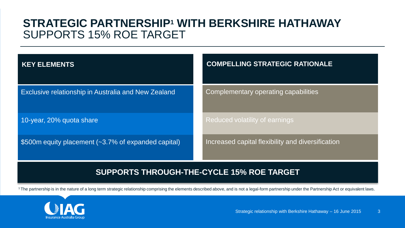#### **STRATEGIC PARTNERSHIP1 WITH BERKSHIRE HATHAWAY** SUPPORTS 15% ROE TARGET

| <b>KEY ELEMENTS</b>                                 | <b>COMPELLING STRATEGIC RATIONALE</b>             |
|-----------------------------------------------------|---------------------------------------------------|
| Exclusive relationship in Australia and New Zealand | Complementary operating capabilities              |
| 10-year, 20% quota share                            | Reduced volatility of earnings                    |
| \$500m equity placement (~3.7% of expanded capital) | Increased capital flexibility and diversification |

#### **SUPPORTS THROUGH-THE-CYCLE 15% ROE TARGET**

<sup>1</sup> The partnership is in the nature of a long term strategic relationship comprising the elements described above, and is not a legal-form partnership under the Partnership Act or equivalent laws.

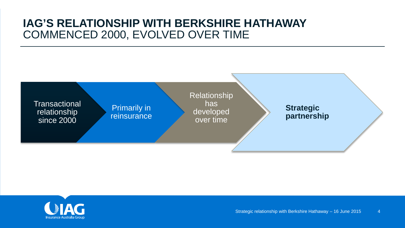#### **IAG'S RELATIONSHIP WITH BERKSHIRE HATHAWAY** COMMENCED 2000, EVOLVED OVER TIME



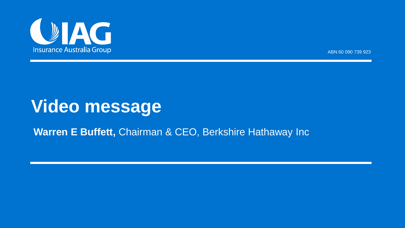

# **Video message**

#### **Warren E Buffett,** Chairman & CEO, Berkshire Hathaway Inc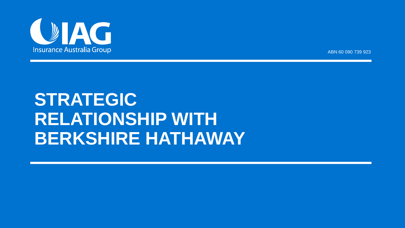

# **STRATEGIC RELATIONSHIP WITH BERKSHIRE HATHAWAY**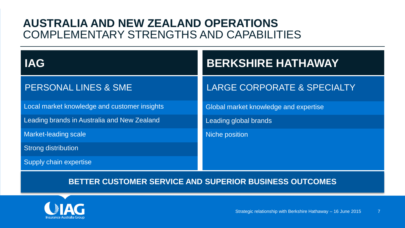#### **AUSTRALIA AND NEW ZEALAND OPERATIONS** COMPLEMENTARY STRENGTHS AND CAPABILITIES

| <b>IAG</b>                                             | <b>BERKSHIRE HATHAWAY</b>              |  |  |
|--------------------------------------------------------|----------------------------------------|--|--|
| <b>PERSONAL LINES &amp; SME</b>                        | <b>LARGE CORPORATE &amp; SPECIALTY</b> |  |  |
| Local market knowledge and customer insights           | Global market knowledge and expertise  |  |  |
| Leading brands in Australia and New Zealand            | Leading global brands                  |  |  |
| Market-leading scale                                   | Niche position                         |  |  |
| <b>Strong distribution</b>                             |                                        |  |  |
| Supply chain expertise                                 |                                        |  |  |
| BETTER CUSTOMER SERVICE AND SUPERIOR BUSINESS OUTCOMES |                                        |  |  |

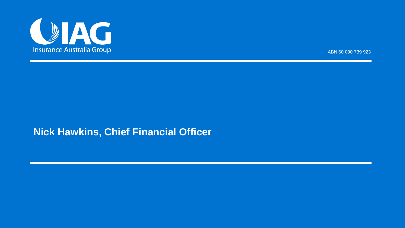

#### **Nick Hawkins, Chief Financial Officer**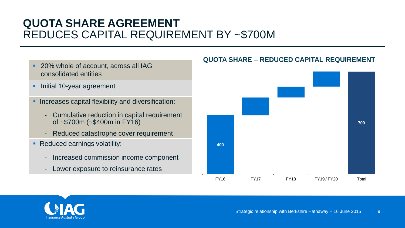### **QUOTA SHARE AGREEMENT** REDUCES CAPITAL REQUIREMENT BY ~\$700M

300

400

500

700

- 20% whole of account, across all IAG consolidated entities
- Initial 10-year agreement
- **Increases capital flexibility and diversification:** 
	- Cumulative reduction in capital requirement of ~\$700m (~\$400m in FY16)
	- Reduced catastrophe cover requirement
- Reduced earnings volatility:
	- Increased commission income component
	- Lower exposure to reinsurance rates

#### **QUOTA SHARE – REDUCED CAPITAL REQUIREMENT**



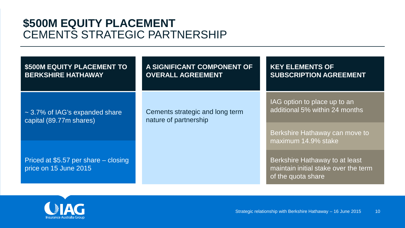#### **\$500M EQUITY PLACEMENT** CEMENTS STRATEGIC PARTNERSHIP

| \$500M EQUITY PLACEMENT TO                                    | A SIGNIFICANT COMPONENT OF      | <b>KEY ELEMENTS OF</b>                                                                       |
|---------------------------------------------------------------|---------------------------------|----------------------------------------------------------------------------------------------|
| <b>BERKSHIRE HATHAWAY</b>                                     | <b>OVERALL AGREEMENT</b>        | <b>SUBSCRIPTION AGREEMENT</b>                                                                |
| $\sim$ 3.7% of IAG's expanded share                           | Cements strategic and long term | IAG option to place up to an                                                                 |
| capital (89.77m shares)                                       | nature of partnership           | additional 5% within 24 months                                                               |
|                                                               |                                 | Berkshire Hathaway can move to<br>maximum 14.9% stake                                        |
| Priced at \$5.57 per share – closing<br>price on 15 June 2015 |                                 | Berkshire Hathaway to at least<br>maintain initial stake over the term<br>of the quota share |

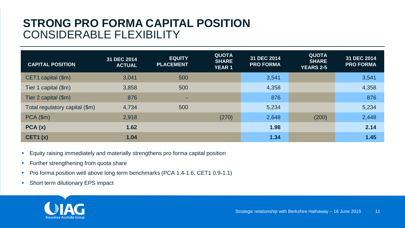### **STRONG PRO FORMA CAPITAL POSITION** CONSIDERABLE FLEXIBILITY

| <b>CAPITAL POSITION</b>        | 31 DEC 2014<br><b>ACTUAL</b> | <b>EQUITY</b><br><b>PLACEMENT</b> | <b>QUOTA</b><br><b>SHARE</b><br><b>YEAR 1</b> | 31 DEC 2014<br><b>PRO FORMA</b> | <b>QUOTA</b><br><b>SHARE</b><br><b>YEARS 2-5</b> | 31 DEC 2014<br><b>PRO FORMA</b> |
|--------------------------------|------------------------------|-----------------------------------|-----------------------------------------------|---------------------------------|--------------------------------------------------|---------------------------------|
| $CET1$ capital $(\$m)$         | 3,041                        | 500                               |                                               | 3,541                           |                                                  | 3,541                           |
| Tier 1 capital $(\$m)$         | 3,858                        | 500                               |                                               | 4,358                           |                                                  | 4,358                           |
| Tier 2 capital $(\$m)$         | 876                          | ۰                                 |                                               | 876                             |                                                  | 876                             |
| Total regulatory capital (\$m) | 4.734                        | 500                               |                                               | 5,234                           |                                                  | 5,234                           |
| $PCA$ (\$m)                    | 2,918                        |                                   | (270)                                         | 2,648                           | (200)                                            | 2,448                           |
| PCA(x)                         | 1.62                         |                                   |                                               | 1.98                            |                                                  | 2.14                            |
| CET1(x)                        | 1.04                         |                                   |                                               | 1.34                            |                                                  | 1.45                            |

- **Equity raising immediately and materially strengthens pro forma capital position**
- **Further strengthening from quota share**
- Pro forma position well above long term benchmarks (PCA 1.4-1.6, CET1 0.9-1.1)
- **Short term dilutionary EPS impact**

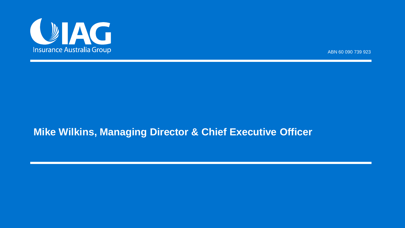

#### **Mike Wilkins, Managing Director & Chief Executive Officer**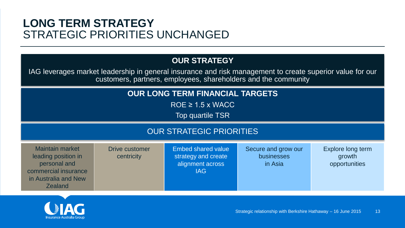#### **LONG TERM STRATEGY** STRATEGIC PRIORITIES UNCHANGED

#### **OUR STRATEGY**

IAG leverages market leadership in general insurance and risk management to create superior value for our customers, partners, employees, shareholders and the community

#### **OUR LONG TERM FINANCIAL TARGETS**

 $ROE \geq 1.5 \times WACC$ 

Top quartile TSR

#### OUR STRATEGIC PRIORITIES

| <b>Maintain market</b><br>leading position in<br>personal and<br>commercial insurance<br>in Australia and New<br><b>Zealand</b> | Drive customer<br>centricity | Embed shared value<br>strategy and create<br>alignment across<br>IAG. | Secure and grow our<br>businesses<br>in Asia | Explore long term<br>growth<br>opportunities |
|---------------------------------------------------------------------------------------------------------------------------------|------------------------------|-----------------------------------------------------------------------|----------------------------------------------|----------------------------------------------|
|                                                                                                                                 |                              |                                                                       |                                              |                                              |

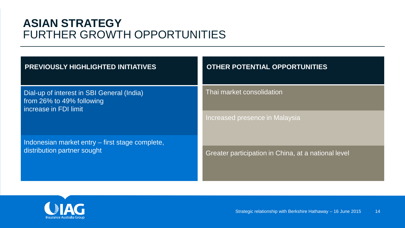#### **ASIAN STRATEGY** FURTHER GROWTH OPPORTUNITIES

| <b>PREVIOUSLY HIGHLIGHTED INITIATIVES</b>                                                        | <b>OTHER POTENTIAL OPPORTUNITIES</b>                |  |
|--------------------------------------------------------------------------------------------------|-----------------------------------------------------|--|
| Dial-up of interest in SBI General (India)<br>from 26% to 49% following<br>increase in FDI limit | Thai market consolidation                           |  |
|                                                                                                  | <b>Increased presence in Malaysia</b>               |  |
| Indonesian market entry – first stage complete,                                                  |                                                     |  |
| distribution partner sought                                                                      | Greater participation in China, at a national level |  |

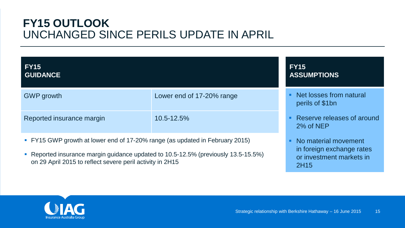### **FY15 OUTLOOK** UNCHANGED SINCE PERILS UPDATE IN APRIL

| <b>FY15</b><br><b>GUIDANCE</b>                                               |                           | <b>FY15</b><br><b>ASSUMPTIONS</b>          |
|------------------------------------------------------------------------------|---------------------------|--------------------------------------------|
| <b>GWP</b> growth                                                            | Lower end of 17-20% range | Net losses from natural<br>perils of \$1bn |
| Reported insurance margin                                                    | 10.5-12.5%                | Reserve releases of around<br>2% of NEP    |
| • FY15 GWP growth at lower end of 17-20% range (as updated in February 2015) | No material movement      |                                            |

Reported insurance margin guidance updated to 10.5-12.5% (previously 13.5-15.5%) on 29 April 2015 to reflect severe peril activity in 2H15

| • No material movement    |
|---------------------------|
| in foreign exchange rates |
| or investment markets in  |
| 2H15                      |
|                           |

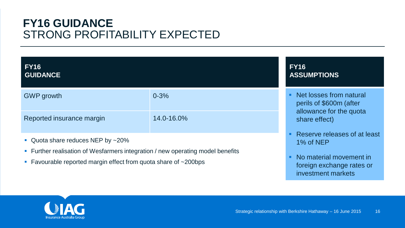### **FY16 GUIDANCE** STRONG PROFITABILITY EXPECTED

| <b>FY16</b><br><b>GUIDANCE</b>    |            | <b>FY16</b><br><b>ASSUMPTIONS</b>                       |  |
|-----------------------------------|------------|---------------------------------------------------------|--|
| <b>GWP</b> growth                 | $0 - 3%$   | Net losses from natural<br>٠<br>perils of \$600m (after |  |
| Reported insurance margin         | 14.0-16.0% | allowance for the quota<br>share effect)                |  |
| • Quota share reduces NEP by ~20% |            | Reserve releases of at least<br>1% of NEP               |  |

- **Further realisation of Wesfarmers integration / new operating model benefits**
- Favourable reported margin effect from quota share of ~200bps

• No material movement in foreign exchange rates or investment markets

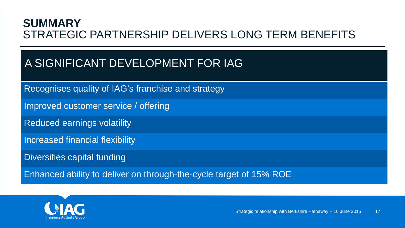### **SUMMARY** STRATEGIC PARTNERSHIP DELIVERS LONG TERM BENEFITS

# A SIGNIFICANT DEVELOPMENT FOR IAG

Recognises quality of IAG's franchise and strategy

Improved customer service / offering

Reduced earnings volatility

Increased financial flexibility

Diversifies capital funding

Enhanced ability to deliver on through-the-cycle target of 15% ROE